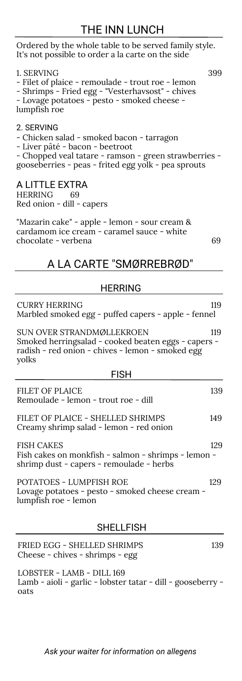## THE INN LUNCH

Ordered by the whole table to be served family style. It's not possible to order a la carte on the side

| 1. SERVING<br>399<br>- Filet of plaice - remoulade - trout roe - lemon<br>- Shrimps - Fried egg - "Vesterhavsost" - chives<br>- Lovage potatoes - pesto - smoked cheese -<br>lumpfish roe                  |  |  |
|------------------------------------------------------------------------------------------------------------------------------------------------------------------------------------------------------------|--|--|
| 2. SERVING<br>- Chicken salad - smoked bacon - tarragon<br>- Liver pâté - bacon - beetroot<br>- Chopped veal tatare - ramson - green strawberries -<br>gooseberries - peas - frited egg yolk - pea sprouts |  |  |
| A LITTLE EXTRA<br><b>HERRING</b><br>69<br>Red onion - dill - capers                                                                                                                                        |  |  |
| "Mazarin cake" - apple - lemon - sour cream &<br>cardamom ice cream - caramel sauce - white<br>chocolate - verbena<br>69                                                                                   |  |  |
| A LA CARTE "SMØRREBRØD"                                                                                                                                                                                    |  |  |
| <b>HERRING</b>                                                                                                                                                                                             |  |  |
| <b>CURRY HERRING</b><br>119<br>Marbled smoked egg - puffed capers - apple - fennel                                                                                                                         |  |  |
| SUN OVER STRANDMØLLEKROEN<br>119<br>Smoked herringsalad - cooked beaten eggs - capers -<br>radish - red onion - chives - lemon - smoked egg<br>yolks                                                       |  |  |
| <b>FISH</b>                                                                                                                                                                                                |  |  |
| <b>FILET OF PLAICE</b><br>139<br>Remoulade - lemon - trout roe - dill                                                                                                                                      |  |  |
| FILET OF PLAICE - SHELLED SHRIMPS<br>149<br>Creamy shrimp salad - lemon - red onion                                                                                                                        |  |  |
| <b>FISH CAKES</b><br>129<br>Fish cakes on monkfish - salmon - shrimps - lemon -<br>shrimp dust - capers - remoulade - herbs                                                                                |  |  |

POTATOES - LUMPFISH ROE 129 Lovage potatoes - pesto - smoked cheese cream lumpfish roe - lemon

## SHELLFISH

| FRIED EGG - SHELLED SHRIMPS<br>Cheese - chives - shrimps - egg                           | 139 |
|------------------------------------------------------------------------------------------|-----|
| LOBSTER - LAMB - DILL 169<br>Lamb - aioli - garlic - lobster tatar - dill - gooseberry - |     |

Lamb - aioli - garlic - lobster tatar - dill - gooseberry oats